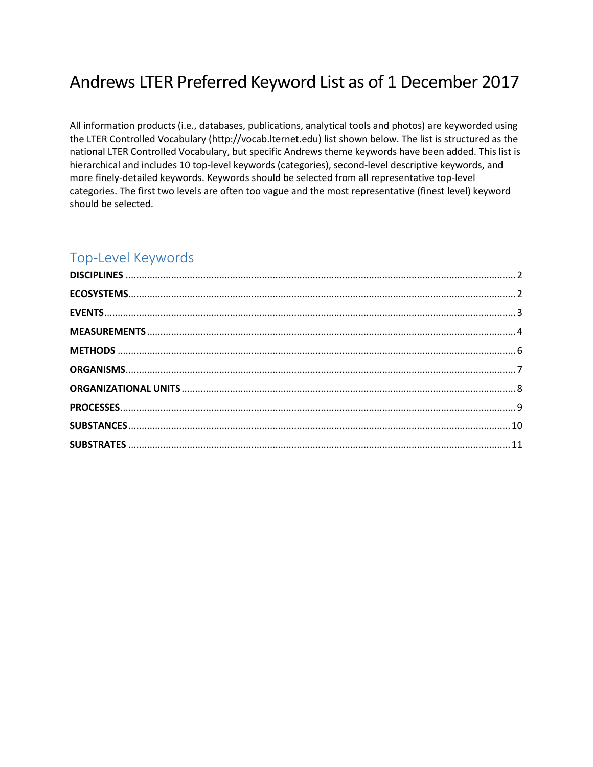# Andrews LTER Preferred Keyword List as of 1 December 2017

All information products (i.e., databases, publications, analytical tools and photos) are keyworded using the LTER Controlled Vocabulary (http://vocab.lternet.edu) list shown below. The list is structured as the national LTER Controlled Vocabulary, but specific Andrews theme keywords have been added. This list is hierarchical and includes 10 top-level keywords (categories), second-level descriptive keywords, and more finely-detailed keywords. Keywords should be selected from all representative top-level categories. The first two levels are often too vague and the most representative (finest level) keyword should be selected.

# Top-Level Keywords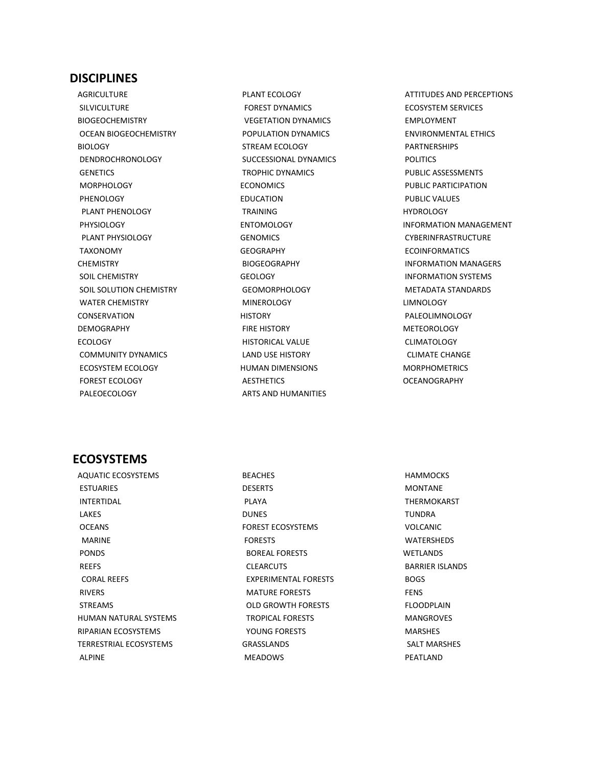#### <span id="page-1-0"></span>**DISCIPLINES**

 AGRICULTURE SILVICULTURE BIOGEOCHEMISTRY OCEAN BIOGEOCHEMISTRY BIOLOGY DENDROCHRONOLOGY **GENETICS**  MORPHOLOGY PHENOLOGY PLANT PHENOLOGY PHYSIOLOGY PLANT PHYSIOLOGY TAXONOMY **CHEMISTRY**  SOIL CHEMISTRY SOIL SOLUTION CHEMISTRY WATER CHEMISTRY CONSERVATION DEMOGRAPHY ECOLOGY COMMUNITY DYNAMICS ECOSYSTEM ECOLOGY FOREST ECOLOGY PALEOECOLOGY

 PLANT ECOLOGY FOREST DYNAMICS VEGETATION DYNAMICS POPULATION DYNAMICS STREAM ECOLOGY SUCCESSIONAL DYNAMICS TROPHIC DYNAMICS ECONOMICS EDUCATION TRAINING ENTOMOLOGY **GENOMICS**  GEOGRAPHY BIOGEOGRAPHY **GEOLOGY**  GEOMORPHOLOGY MINEROLOGY **HISTORY**  FIRE HISTORY HISTORICAL VALUE LAND USE HISTORY HUMAN DIMENSIONS AESTHETICS ARTS AND HUMANITIES

 ATTITUDES AND PERCEPTIONS ECOSYSTEM SERVICES EMPLOYMENT ENVIRONMENTAL ETHICS PARTNERSHIPS POLITICS PUBLIC ASSESSMENTS PUBLIC PARTICIPATION PUBLIC VALUES **HYDROLOGY**  INFORMATION MANAGEMENT CYBERINFRASTRUCTURE ECOINFORMATICS INFORMATION MANAGERS INFORMATION SYSTEMS METADATA STANDARDS LIMNOLOGY PALEOLIMNOLOGY METEOROLOGY CLIMATOLOGY CLIMATE CHANGE MORPHOMETRICS **OCEANOGRAPHY** 

#### <span id="page-1-1"></span>**ECOSYSTEMS**

 AQUATIC ECOSYSTEMS **ESTUARIES**  INTERTIDAL LAKES **OCEANS**  MARINE PONDS REEFS CORAL REEFS RIVERS STREAMS HUMAN NATURAL SYSTEMS RIPARIAN ECOSYSTEMS TERRESTRIAL ECOSYSTEMS ALPINE

 BEACHES DESERTS PLAYA DUNES FOREST ECOSYSTEMS FORESTS BOREAL FORESTS CLEARCUTS EXPERIMENTAL FORESTS MATURE FORESTS OLD GROWTH FORESTS TROPICAL FORESTS YOUNG FORESTS GRASSLANDS MEADOWS

 HAMMOCKS MONTANE THERMOKARST TUNDRA VOLCANIC WATERSHEDS **WETLANDS**  BARRIER ISLANDS BOGS FENS FLOODPLAIN MANGROVES MARSHES SALT MARSHES PEATLAND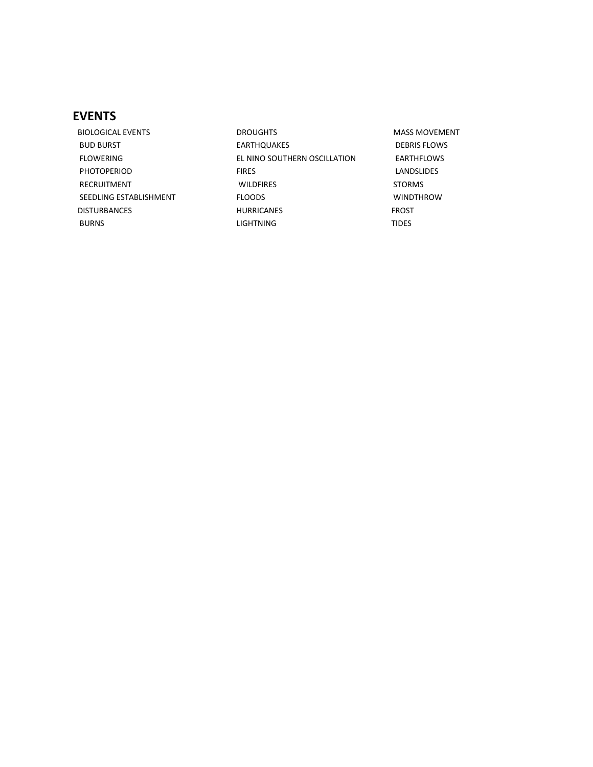# <span id="page-2-0"></span>**EVENTS**

 BIOLOGICAL EVENTS BUD BURST FLOWERING PHOTOPERIOD RECRUITMENT SEEDLING ESTABLISHMENT DISTURBANCES BURNS

 DROUGHTS EARTHQUAKES EL NINO SOUTHERN OSCILLATION FIRES WILDFIRES FLOODS HURRICANES LIGHTNING

 MASS MOVEMENT DEBRIS FLOWS EARTHFLOWS LANDSLIDES STORMS WINDTHROW FROST TIDES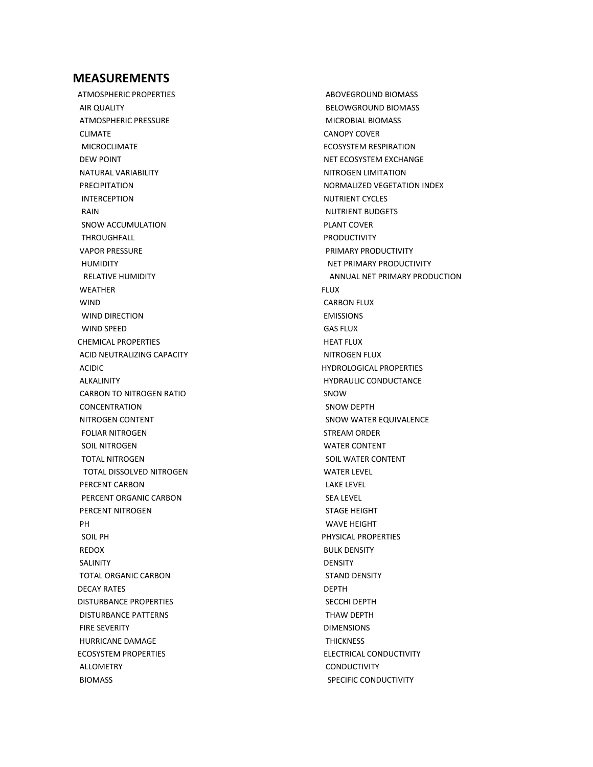#### <span id="page-3-0"></span>**MEASUREMENTS**

 ATMOSPHERIC PROPERTIES AIR QUALITY ATMOSPHERIC PRESSURE CLIMATE MICROCLIMATE DEW POINT NATURAL VARIABILITY PRECIPITATION INTERCEPTION RAIN SNOW ACCUMULATION THROUGHFALL VAPOR PRESSURE HUMIDITY RELATIVE HUMIDITY WEATHER WIND WIND DIRECTION WIND SPEED CHEMICAL PROPERTIES ACID NEUTRALIZING CAPACITY ACIDIC ALKALINITY CARBON TO NITROGEN RATIO CONCENTRATION NITROGEN CONTENT FOLIAR NITROGEN SOIL NITROGEN TOTAL NITROGEN TOTAL DISSOLVED NITROGEN PERCENT CARBON PERCENT ORGANIC CARBON PERCENT NITROGEN PH SOIL PH REDOX SALINITY TOTAL ORGANIC CARBON DECAY RATES DISTURBANCE PROPERTIES DISTURBANCE PATTERNS FIRE SEVERITY HURRICANE DAMAGE ECOSYSTEM PROPERTIES ALLOMETRY BIOMASS

 ABOVEGROUND BIOMASS BELOWGROUND BIOMASS MICROBIAL BIOMASS CANOPY COVER ECOSYSTEM RESPIRATION NET ECOSYSTEM EXCHANGE NITROGEN LIMITATION NORMALIZED VEGETATION INDEX NUTRIENT CYCLES NUTRIENT BUDGETS PLANT COVER PRODUCTIVITY PRIMARY PRODUCTIVITY NET PRIMARY PRODUCTIVITY ANNUAL NET PRIMARY PRODUCTION FLUX CARBON FLUX EMISSIONS GAS FLUX HEAT FLUX NITROGEN FLUX HYDROLOGICAL PROPERTIES HYDRAULIC CONDUCTANCE SNOW SNOW DEPTH SNOW WATER EQUIVALENCE STREAM ORDER WATER CONTENT SOIL WATER CONTENT WATER LEVEL LAKE LEVEL SEA LEVEL STAGE HEIGHT WAVE HEIGHT PHYSICAL PROPERTIES BULK DENSITY DENSITY STAND DENSITY DEPTH SECCHI DEPTH THAW DEPTH DIMENSIONS **THICKNESS**  ELECTRICAL CONDUCTIVITY CONDUCTIVITY SPECIFIC CONDUCTIVITY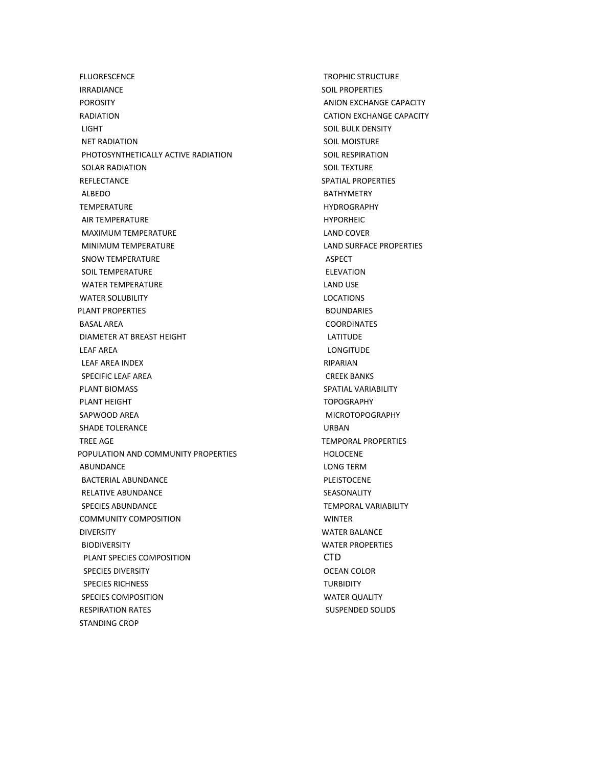FLUORESCENCE IRRADIANCE POROSITY RADIATION LIGHT NET RADIATION PHOTOSYNTHETICALLY ACTIVE RADIATION SOLAR RADIATION REFLECTANCE ALBEDO TEMPERATURE AIR TEMPERATURE MAXIMUM TEMPERATURE MINIMUM TEMPERATURE SNOW TEMPERATURE SOIL TEMPERATURE WATER TEMPERATURE WATER SOLUBILITY PLANT PROPERTIES BASAL AREA DIAMETER AT BREAST HEIGHT LEAF AREA LEAF AREA INDEX SPECIFIC LEAF AREA PLANT BIOMASS PLANT HEIGHT SAPWOOD AREA SHADE TOLERANCE TREE AGE POPULATION AND COMMUNITY PROPERTIES ABUNDANCE BACTERIAL ABUNDANCE RELATIVE ABUNDANCE SPECIES ABUNDANCE COMMUNITY COMPOSITION DIVERSITY BIODIVERSITY PLANT SPECIES COMPOSITION SPECIES DIVERSITY SPECIES RICHNESS SPECIES COMPOSITION RESPIRATION RATES STANDING CROP

 TROPHIC STRUCTURE SOIL PROPERTIES ANION EXCHANGE CAPACITY CATION EXCHANGE CAPACITY SOIL BULK DENSITY SOIL MOISTURE SOIL RESPIRATION SOIL TEXTURE SPATIAL PROPERTIES BATHYMETRY HYDROGRAPHY HYPORHEIC LAND COVER LAND SURFACE PROPERTIES ASPECT ELEVATION LAND USE LOCATIONS BOUNDARIES COORDINATES LATITUDE LONGITUDE RIPARIAN CREEK BANKS SPATIAL VARIABILITY **TOPOGRAPHY**  MICROTOPOGRAPHY URBAN TEMPORAL PROPERTIES HOLOCENE LONG TERM PLEISTOCENE SEASONALITY TEMPORAL VARIABILITY WINTER WATER BALANCE WATER PROPERTIES CTD OCEAN COLOR **TURBIDITY**  WATER QUALITY SUSPENDED SOLIDS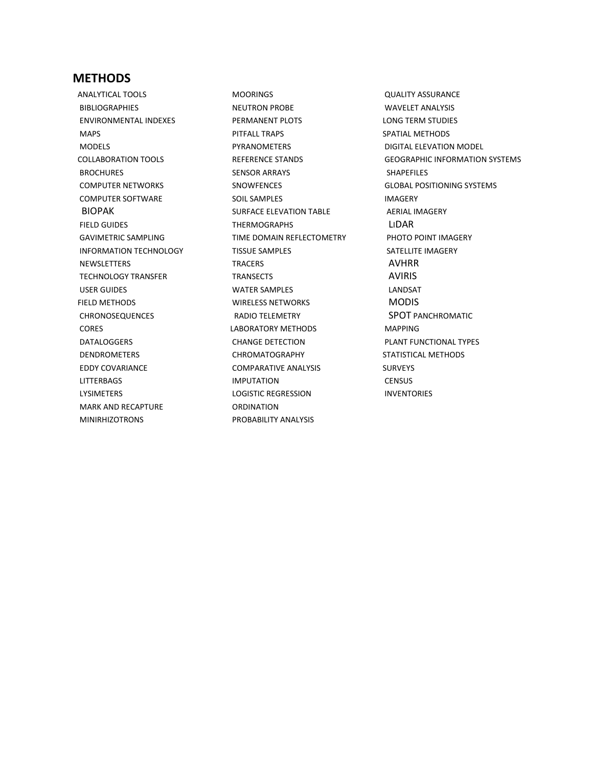#### <span id="page-5-0"></span>**METHODS**

 ANALYTICAL TOOLS **BIBLIOGRAPHIES**  ENVIRONMENTAL INDEXES MAPS MODELS COLLABORATION TOOLS **BROCHURES**  COMPUTER NETWORKS COMPUTER SOFTWARE BIOPAK FIELD GUIDES GAVIMETRIC SAMPLING INFORMATION TECHNOLOGY NEWSLETTERS TECHNOLOGY TRANSFER USER GUIDES FIELD METHODS CHRONOSEQUENCES CORES DATALOGGERS DENDROMETERS EDDY COVARIANCE LITTERBAGS LYSIMETERS MARK AND RECAPTURE MINIRHIZOTRONS

 MOORINGS NEUTRON PROBE PERMANENT PLOTS PITFALL TRAPS **PYRANOMETERS**  REFERENCE STANDS SENSOR ARRAYS SNOWFENCES SOIL SAMPLES SURFACE ELEVATION TABLE THERMOGRAPHS TIME DOMAIN REFLECTOMETRY TISSUE SAMPLES **TRACERS**  TRANSECTS WATER SAMPLES WIRELESS NETWORKS RADIO TELEMETRY LABORATORY METHODS CHANGE DETECTION CHROMATOGRAPHY COMPARATIVE ANALYSIS IMPUTATION LOGISTIC REGRESSION ORDINATION PROBABILITY ANALYSIS

 QUALITY ASSURANCE WAVELET ANALYSIS LONG TERM STUDIES SPATIAL METHODS DIGITAL ELEVATION MODEL GEOGRAPHIC INFORMATION SYSTEMS SHAPEFILES GLOBAL POSITIONING SYSTEMS IMAGERY AERIAL IMAGERY LIDAR PHOTO POINT IMAGERY SATELLITE IMAGERY AVHRR AVIRIS LANDSAT MODIS SPOT PANCHROMATIC MAPPING PLANT FUNCTIONAL TYPES STATISTICAL METHODS SURVEYS **CENSUS** INVENTORIES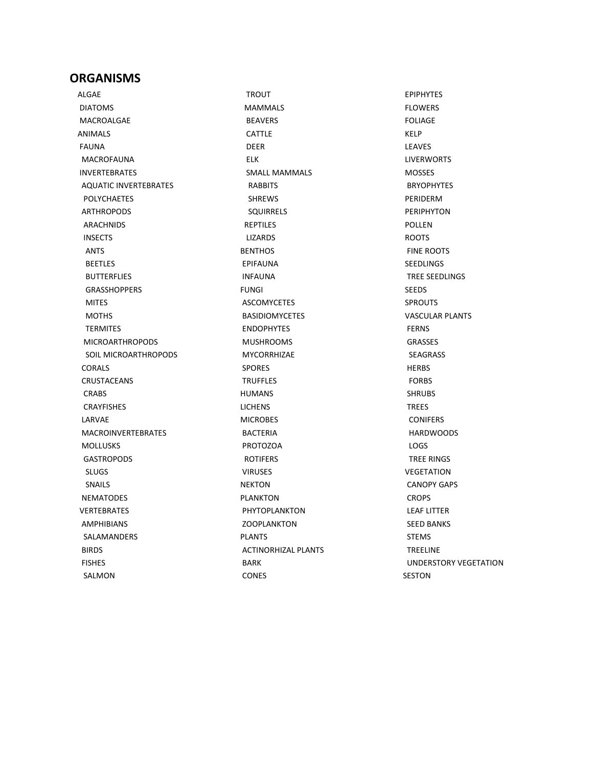#### <span id="page-6-0"></span>**ORGANISMS**

 ALGAE DIATOMS MACROALGAE ANIMALS FAUNA MACROFAUNA INVERTEBRATES AQUATIC INVERTEBRATES POLYCHAETES ARTHROPODS ARACHNIDS INSECTS ANTS BEETLES BUTTERFLIES GRASSHOPPERS MITES **MOTHS**  TERMITES MICROARTHROPODS SOIL MICROARTHROPODS CORALS CRUSTACEANS CRABS CRAYFISHES LARVAE MACROINVERTEBRATES MOLLUSKS **GASTROPODS**  SLUGS SNAILS NEMATODES VERTEBRATES AMPHIBIANS SALAMANDERS BIRDS FISHES SALMON

 TROUT MAMMALS BEAVERS CATTLE DEER ELK SMALL MAMMALS RABBITS SHREWS SQUIRRELS REPTILES LIZARDS **BENTHOS**  EPIFAUNA INFAUNA FUNGI ASCOMYCETES BASIDIOMYCETES ENDOPHYTES MUSHROOMS MYCORRHIZAE SPORES **TRUFFLES**  HUMANS **LICHENS**  MICROBES BACTERIA PROTOZOA ROTIFERS VIRUSES NEKTON PLANKTON PHYTOPLANKTON **ZOOPLANKTON**  PLANTS ACTINORHIZAL PLANTS BARK CONES

 EPIPHYTES FLOWERS FOLIAGE KELP **LEAVES**  LIVERWORTS MOSSES BRYOPHYTES PERIDERM PERIPHYTON POLLEN ROOTS FINE ROOTS SEEDLINGS TREE SEEDLINGS SEEDS **SPROUTS**  VASCULAR PLANTS FERNS GRASSES SEAGRASS HERBS FORBS SHRUBS TREES CONIFERS HARDWOODS LOGS TREE RINGS VEGETATION CANOPY GAPS CROPS LEAF LITTER SEED BANKS STEMS TREELINE UNDERSTORY VEGETATION SESTON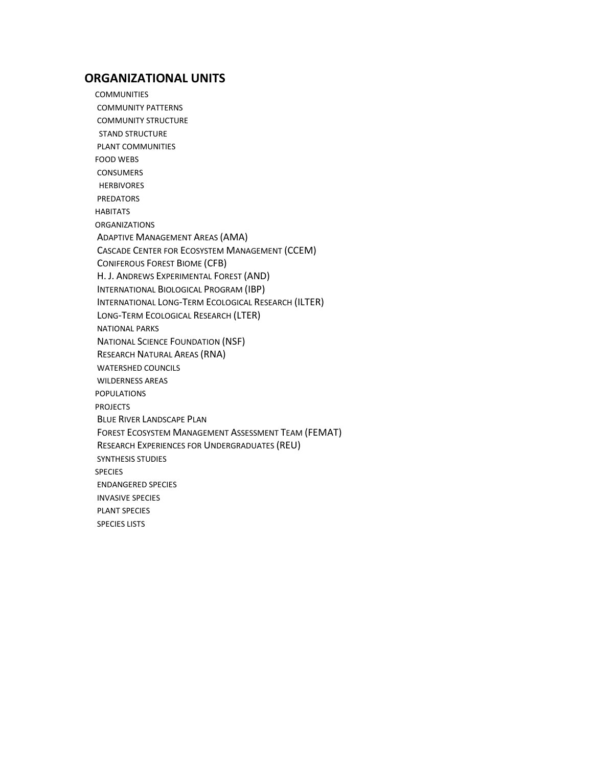## <span id="page-7-0"></span> **ORGANIZATIONAL UNITS**

**COMMUNITIES**  COMMUNITY PATTERNS COMMUNITY STRUCTURE STAND STRUCTURE PLANT COMMUNITIES FOOD WEBS **CONSUMERS**  HERBIVORES PREDATORS HABITATS ORGANIZATIONS ADAPTIVE MANAGEMENT AREAS (AMA) CASCADE CENTER FOR ECOSYSTEM MANAGEMENT (CCEM) CONIFEROUS FOREST BIOME (CFB) H. J. ANDREWS EXPERIMENTAL FOREST (AND) INTERNATIONAL BIOLOGICAL PROGRAM (IBP) INTERNATIONAL LONG-TERM ECOLOGICAL RESEARCH (ILTER) LONG-TERM ECOLOGICAL RESEARCH (LTER) NATIONAL PARKS NATIONAL SCIENCE FOUNDATION (NSF) RESEARCH NATURAL AREAS (RNA) WATERSHED COUNCILS WILDERNESS AREAS POPULATIONS PROJECTS BLUE RIVER LANDSCAPE PLAN FOREST ECOSYSTEM MANAGEMENT ASSESSMENT TEAM (FEMAT) RESEARCH EXPERIENCES FOR UNDERGRADUATES (REU) SYNTHESIS STUDIES SPECIES ENDANGERED SPECIES INVASIVE SPECIES PLANT SPECIES SPECIES LISTS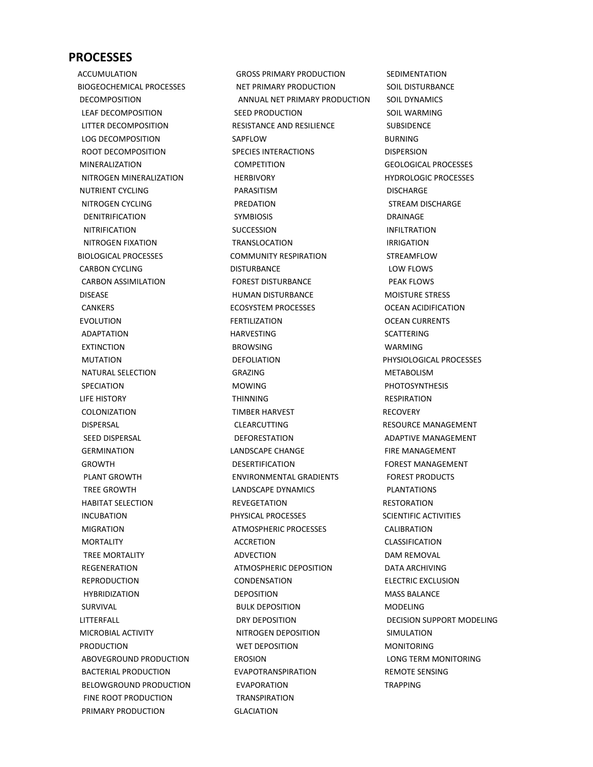#### <span id="page-8-0"></span>**PROCESSES**

 ACCUMULATION BIOGEOCHEMICAL PROCESSES DECOMPOSITION LEAF DECOMPOSITION LITTER DECOMPOSITION LOG DECOMPOSITION ROOT DECOMPOSITION MINERALIZATION NITROGEN MINERALIZATION NUTRIENT CYCLING NITROGEN CYCLING DENITRIFICATION NITRIFICATION NITROGEN FIXATION BIOLOGICAL PROCESSES CARBON CYCLING CARBON ASSIMILATION DISEASE **CANKERS**  EVOLUTION ADAPTATION EXTINCTION MUTATION NATURAL SELECTION SPECIATION LIFE HISTORY **COLONIZATION**  DISPERSAL SEED DISPERSAL **GERMINATION GROWTH**  PLANT GROWTH TREE GROWTH HABITAT SELECTION INCUBATION MIGRATION MORTALITY TREE MORTALITY REGENERATION **REPRODUCTION**  HYBRIDIZATION SURVIVAL LITTERFALL MICROBIAL ACTIVITY PRODUCTION ABOVEGROUND PRODUCTION BACTERIAL PRODUCTION BELOWGROUND PRODUCTION FINE ROOT PRODUCTION PRIMARY PRODUCTION

 GROSS PRIMARY PRODUCTION NET PRIMARY PRODUCTION ANNUAL NET PRIMARY PRODUCTION SEED PRODUCTION RESISTANCE AND RESILIENCE SAPFLOW SPECIES INTERACTIONS **COMPETITION**  HERBIVORY PARASITISM PREDATION SYMBIOSIS **SUCCESSION TRANSLOCATION**  COMMUNITY RESPIRATION DISTURBANCE FOREST DISTURBANCE HUMAN DISTURBANCE ECOSYSTEM PROCESSES FERTILIZATION HARVESTING BROWSING DEFOLIATION GRAZING MOWING THINNING TIMBER HARVEST CLEARCUTTING DEFORESTATION LANDSCAPE CHANGE DESERTIFICATION ENVIRONMENTAL GRADIENTS LANDSCAPE DYNAMICS REVEGETATION PHYSICAL PROCESSES ATMOSPHERIC PROCESSES ACCRETION ADVECTION ATMOSPHERIC DEPOSITION CONDENSATION DEPOSITION BULK DEPOSITION DRY DEPOSITION NITROGEN DEPOSITION WET DEPOSITION **EROSION**  EVAPOTRANSPIRATION EVAPORATION **TRANSPIRATION GLACIATION** 

 SEDIMENTATION SOIL DISTURBANCE SOIL DYNAMICS SOIL WARMING SUBSIDENCE BURNING **DISPERSION**  GEOLOGICAL PROCESSES HYDROLOGIC PROCESSES DISCHARGE STREAM DISCHARGE DRAINAGE INFILTRATION IRRIGATION STREAMFLOW LOW FLOWS PEAK FLOWS MOISTURE STRESS OCEAN ACIDIFICATION OCEAN CURRENTS SCATTERING WARMING PHYSIOLOGICAL PROCESSES METABOLISM PHOTOSYNTHESIS RESPIRATION RECOVERY RESOURCE MANAGEMENT ADAPTIVE MANAGEMENT FIRE MANAGEMENT FOREST MANAGEMENT FOREST PRODUCTS **PLANTATIONS**  RESTORATION SCIENTIFIC ACTIVITIES CALIBRATION CLASSIFICATION DAM REMOVAL DATA ARCHIVING ELECTRIC EXCLUSION MASS BALANCE MODELING DECISION SUPPORT MODELING SIMULATION MONITORING LONG TERM MONITORING REMOTE SENSING TRAPPING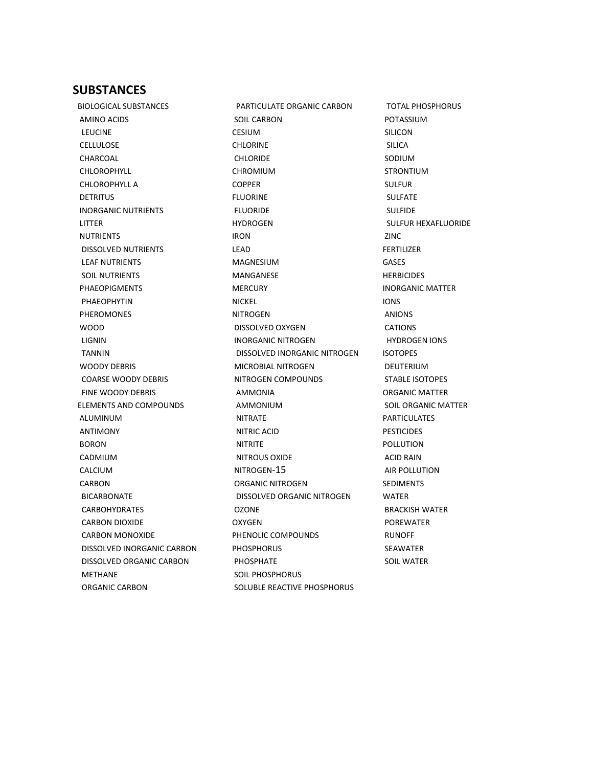#### <span id="page-9-0"></span>**SUBSTANCES**

 BIOLOGICAL SUBSTANCES AMINO ACIDS LEUCINE CELLULOSE CHARCOAL CHLOROPHYLL CHLOROPHYLL A **DETRITUS**  INORGANIC NUTRIENTS LITTER **NUTRIENTS**  DISSOLVED NUTRIENTS LEAF NUTRIENTS SOIL NUTRIENTS PHAEOPIGMENTS PHAEOPHYTIN PHEROMONES WOOD LIGNIN TANNIN WOODY DEBRIS COARSE WOODY DEBRIS FINE WOODY DEBRIS ELEMENTS AND COMPOUNDS ALUMINUM ANTIMONY BORON CADMIUM CALCIUM CARBON BICARBONATE CARBOHYDRATES CARBON DIOXIDE CARBON MONOXIDE DISSOLVED INORGANIC CARBON DISSOLVED ORGANIC CARBON METHANE ORGANIC CARBON

 PARTICULATE ORGANIC CARBON SOIL CARBON CESIUM CHLORINE CHLORIDE CHROMIUM COPPER FLUORINE FLUORIDE HYDROGEN IRON LEAD MAGNESIUM MANGANESE **MERCURY**  NICKEL NITROGEN DISSOLVED OXYGEN INORGANIC NITROGEN DISSOLVED INORGANIC NITROGEN MICROBIAL NITROGEN NITROGEN COMPOUNDS AMMONIA AMMONIUM NITRATE NITRIC ACID NITRITE NITROUS OXIDE NITROGEN-15 ORGANIC NITROGEN DISSOLVED ORGANIC NITROGEN OZONE OXYGEN PHENOLIC COMPOUNDS **PHOSPHORUS**  PHOSPHATE SOIL PHOSPHORUS SOLUBLE REACTIVE PHOSPHORUS

 TOTAL PHOSPHORUS POTASSIUM SILICON SILICA SODIUM STRONTIUM SULFUR SULFATE SULFIDE SULFUR HEXAFLUORIDE ZINC FERTILIZER GASES **HERBICIDES**  INORGANIC MATTER IONS ANIONS CATIONS HYDROGEN IONS ISOTOPES DEUTERIUM STABLE ISOTOPES ORGANIC MATTER SOIL ORGANIC MATTER PARTICULATES PESTICIDES POLLUTION ACID RAIN AIR POLLUTION SEDIMENTS WATER BRACKISH WATER POREWATER RUNOFF SEAWATER SOIL WATER